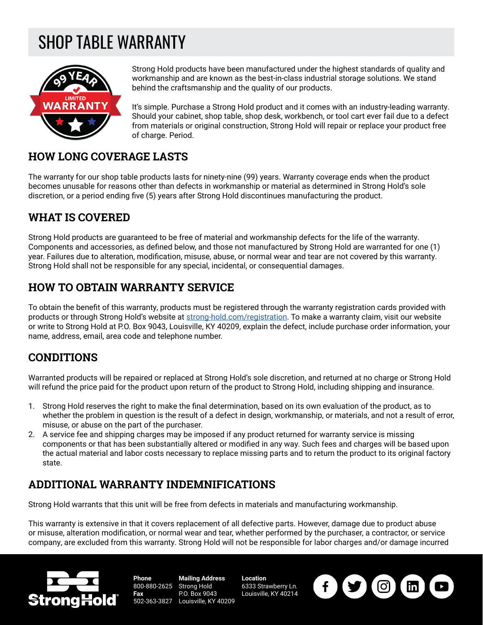## SHOP TABLE WARRANTY



Strong Hold products have been manufactured under the highest standards of quality and workmanship and are known as the best-in-class industrial storage solutions. We stand behind the craftsmanship and the quality of our products.

It's simple. Purchase a Strong Hold product and it comes with an industry-leading warranty. Should your cabinet, shop table, shop desk, workbench, or tool cart ever fail due to a defect from materials or original construction, Strong Hold will repair or replace your product free of charge. Period.

### **HOW LONG COVERAGE LASTS**

The warranty for our shop table products lasts for ninety-nine (99) years. Warranty coverage ends when the product becomes unusable for reasons other than defects in workmanship or material as determined in Strong Hold's sole discretion, or a period ending five (5) years after Strong Hold discontinues manufacturing the product.

## **WHAT IS COVERED**

Strong Hold products are guaranteed to be free of material and workmanship defects for the life of the warranty. Components and accessories, as defined below, and those not manufactured by Strong Hold are warranted for one (1) year. Failures due to alteration, modification, misuse, abuse, or normal wear and tear are not covered by this warranty. Strong Hold shall not be responsible for any special, incidental, or consequential damages.

## **HOW TO OBTAIN WARRANTY SERVICE**

To obtain the benefit of this warranty, products must be registered through the warranty registration cards provided with products or through Strong Hold's website at [strong-hold.com/registration](http://strong-hold.com/registration). To make a warranty claim, visit our website or write to Strong Hold at P.O. Box 9043, Louisville, KY 40209, explain the defect, include purchase order information, your name, address, email, area code and telephone number.

### **CONDITIONS**

Warranted products will be repaired or replaced at Strong Hold's sole discretion, and returned at no charge or Strong Hold will refund the price paid for the product upon return of the product to Strong Hold, including shipping and insurance.

- 1. Strong Hold reserves the right to make the final determination, based on its own evaluation of the product, as to whether the problem in question is the result of a defect in design, workmanship, or materials, and not a result of error, misuse, or abuse on the part of the purchaser.
- 2. A service fee and shipping charges may be imposed if any product returned for warranty service is missing components or that has been substantially altered or modified in any way. Such fees and charges will be based upon the actual material and labor costs necessary to replace missing parts and to return the product to its original factory state.

### **ADDITIONAL WARRANTY INDEMNIFICATIONS**

Strong Hold warrants that this unit will be free from defects in materials and manufacturing workmanship.

This warranty is extensive in that it covers replacement of all defective parts. However, damage due to product abuse or misuse, alteration modification, or normal wear and tear, whether performed by the purchaser, a contractor, or service company, are excluded from this warranty. Strong Hold will not be responsible for labor charges and/or damage incurred



**Phone** 800-880-2625 Strong Hold **Fax** 502-363-3827 **Mailing Address** P.O. Box 9043 Louisville, KY 40209

**Location** 6333 Strawberry Ln. Louisville, KY 40214